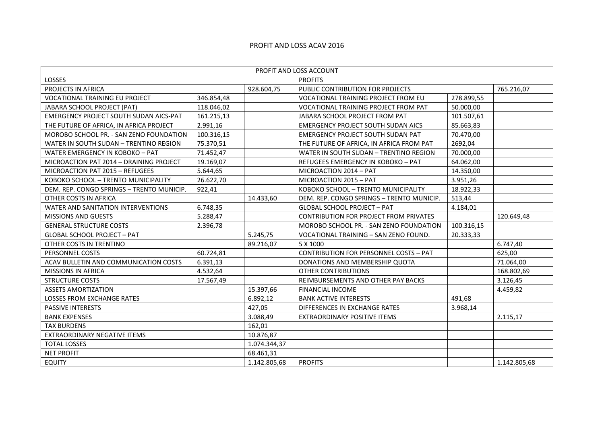## PROFIT AND LOSS ACAV 2016

| PROFIT AND LOSS ACCOUNT                   |            |              |                                               |            |              |  |  |  |  |
|-------------------------------------------|------------|--------------|-----------------------------------------------|------------|--------------|--|--|--|--|
| LOSSES                                    |            |              | <b>PROFITS</b>                                |            |              |  |  |  |  |
| PROJECTS IN AFRICA                        |            | 928.604,75   | PUBLIC CONTRIBUTION FOR PROJECTS              |            | 765.216,07   |  |  |  |  |
| <b>VOCATIONAL TRAINING EU PROJECT</b>     | 346.854,48 |              | <b>VOCATIONAL TRAINING PROJECT FROM EU</b>    | 278.899,55 |              |  |  |  |  |
| JABARA SCHOOL PROJECT (PAT)               | 118.046,02 |              | VOCATIONAL TRAINING PROJECT FROM PAT          | 50.000,00  |              |  |  |  |  |
| EMERGENCY PROJECT SOUTH SUDAN AICS-PAT    | 161.215,13 |              | JABARA SCHOOL PROJECT FROM PAT                | 101.507,61 |              |  |  |  |  |
| THE FUTURE OF AFRICA, IN AFRICA PROJECT   | 2.991,16   |              | <b>EMERGENCY PROJECT SOUTH SUDAN AICS</b>     | 85.663,83  |              |  |  |  |  |
| MOROBO SCHOOL PR. - SAN ZENO FOUNDATION   | 100.316,15 |              | <b>EMERGENCY PROJECT SOUTH SUDAN PAT</b>      | 70.470,00  |              |  |  |  |  |
| WATER IN SOUTH SUDAN - TRENTINO REGION    | 75.370,51  |              | THE FUTURE OF AFRICA, IN AFRICA FROM PAT      | 2692,04    |              |  |  |  |  |
| WATER EMERGENCY IN KOBOKO - PAT           | 71.452,47  |              | WATER IN SOUTH SUDAN - TRENTINO REGION        | 70.000,00  |              |  |  |  |  |
| MICROACTION PAT 2014 - DRAINING PROJECT   | 19.169,07  |              | REFUGEES EMERGENCY IN KOBOKO - PAT            | 64.062,00  |              |  |  |  |  |
| MICROACTION PAT 2015 - REFUGEES           | 5.644,65   |              | MICROACTION 2014 - PAT                        | 14.350,00  |              |  |  |  |  |
| KOBOKO SCHOOL - TRENTO MUNICIPALITY       | 26.622,70  |              | MICROACTION 2015 - PAT                        | 3.951,26   |              |  |  |  |  |
| DEM. REP. CONGO SPRINGS - TRENTO MUNICIP. | 922,41     |              | KOBOKO SCHOOL - TRENTO MUNICIPALITY           | 18.922,33  |              |  |  |  |  |
| OTHER COSTS IN AFRICA                     |            | 14.433,60    | DEM. REP. CONGO SPRINGS - TRENTO MUNICIP.     | 513,44     |              |  |  |  |  |
| WATER AND SANITATION INTERVENTIONS        | 6.748,35   |              | <b>GLOBAL SCHOOL PROJECT - PAT</b>            | 4.184,01   |              |  |  |  |  |
| MISSIONS AND GUESTS                       | 5.288,47   |              | CONTRIBUTION FOR PROJECT FROM PRIVATES        |            | 120.649,48   |  |  |  |  |
| <b>GENERAL STRUCTURE COSTS</b>            | 2.396,78   |              | MOROBO SCHOOL PR. - SAN ZENO FOUNDATION       | 100.316,15 |              |  |  |  |  |
| <b>GLOBAL SCHOOL PROJECT - PAT</b>        |            | 5.245,75     | VOCATIONAL TRAINING - SAN ZENO FOUND.         | 20.333,33  |              |  |  |  |  |
| OTHER COSTS IN TRENTINO                   |            | 89.216,07    | 5 X 1000                                      |            | 6.747,40     |  |  |  |  |
| PERSONNEL COSTS                           | 60.724,81  |              | <b>CONTRIBUTION FOR PERSONNEL COSTS - PAT</b> |            | 625,00       |  |  |  |  |
| ACAV BULLETIN AND COMMUNICATION COSTS     | 6.391,13   |              | DONATIONS AND MEMBERSHIP QUOTA                |            | 71.064,00    |  |  |  |  |
| MISSIONS IN AFRICA                        | 4.532,64   |              | <b>OTHER CONTRIBUTIONS</b>                    |            | 168.802,69   |  |  |  |  |
| <b>STRUCTURE COSTS</b>                    | 17.567,49  |              | REIMBURSEMENTS AND OTHER PAY BACKS            |            | 3.126,45     |  |  |  |  |
| <b>ASSETS AMORTIZATION</b>                |            | 15.397,66    | <b>FINANCIAL INCOME</b>                       |            | 4.459,82     |  |  |  |  |
| LOSSES FROM EXCHANGE RATES                |            | 6.892,12     | <b>BANK ACTIVE INTERESTS</b>                  | 491,68     |              |  |  |  |  |
| PASSIVE INTERESTS                         |            | 427,05       | DIFFERENCES IN EXCHANGE RATES                 | 3.968,14   |              |  |  |  |  |
| <b>BANK EXPENSES</b>                      |            | 3.088,49     | <b>EXTRAORDINARY POSITIVE ITEMS</b>           |            | 2.115,17     |  |  |  |  |
| <b>TAX BURDENS</b>                        |            | 162,01       |                                               |            |              |  |  |  |  |
| EXTRAORDINARY NEGATIVE ITEMS              |            | 10.876,87    |                                               |            |              |  |  |  |  |
| <b>TOTAL LOSSES</b>                       |            | 1.074.344,37 |                                               |            |              |  |  |  |  |
| <b>NET PROFIT</b>                         |            | 68.461,31    |                                               |            |              |  |  |  |  |
| <b>EQUITY</b>                             |            | 1.142.805,68 | <b>PROFITS</b>                                |            | 1.142.805,68 |  |  |  |  |